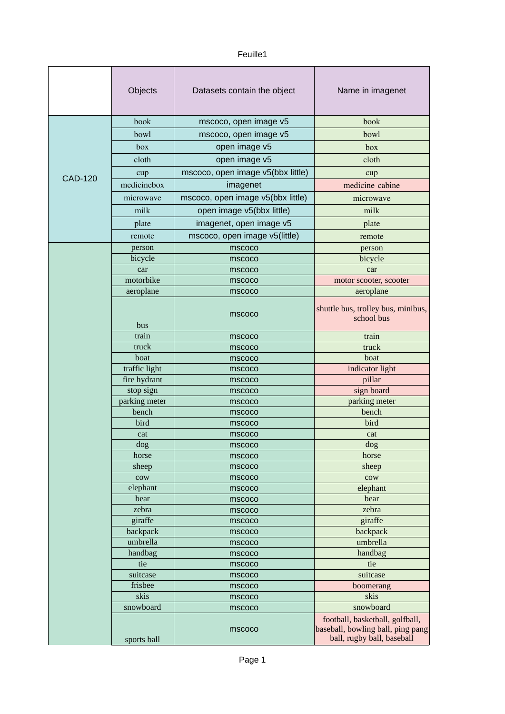## Feuille1

|                | Objects            | Datasets contain the object       | Name in imagenet                                                                                   |
|----------------|--------------------|-----------------------------------|----------------------------------------------------------------------------------------------------|
|                | book               | mscoco, open image v5             | book                                                                                               |
| <b>CAD-120</b> | bowl               | mscoco, open image v5             | bowl                                                                                               |
|                | box                | open image v5                     | box                                                                                                |
|                | cloth              | open image v5                     | cloth                                                                                              |
|                |                    | mscoco, open image v5(bbx little) |                                                                                                    |
|                | cup<br>medicinebox |                                   | cup                                                                                                |
|                |                    | imagenet                          | medicine cabine                                                                                    |
|                | microwave          | mscoco, open image v5(bbx little) | microwave                                                                                          |
|                | milk               | open image v5(bbx little)         | milk                                                                                               |
|                | plate              | imagenet, open image v5           | plate                                                                                              |
|                | remote             | mscoco, open image v5(little)     | remote                                                                                             |
|                | person             | mscoco                            | person                                                                                             |
|                | bicycle            | mscoco                            | bicycle                                                                                            |
|                | car                | mscoco                            | car                                                                                                |
|                | motorbike          | mscoco                            | motor scooter, scooter                                                                             |
|                | aeroplane          | mscoco                            | aeroplane                                                                                          |
|                | bus                | mscoco                            | shuttle bus, trolley bus, minibus,<br>school bus                                                   |
|                | train              | mscoco                            | train                                                                                              |
|                | truck              | mscoco                            | truck                                                                                              |
|                | boat               | mscoco                            | boat                                                                                               |
|                | traffic light      | mscoco                            | indicator light                                                                                    |
|                | fire hydrant       | mscoco                            | pillar                                                                                             |
|                | stop sign          | mscoco                            | sign board                                                                                         |
|                | parking meter      | mscoco                            | parking meter                                                                                      |
|                | bench              | mscoco                            | bench                                                                                              |
|                | bird               | mscoco                            | bird                                                                                               |
|                | cat                | mscoco                            | cat                                                                                                |
|                | dog<br>horse       | mscoco<br>mscoco                  | dog<br>horse                                                                                       |
|                | sheep              | mscoco                            | sheep                                                                                              |
|                | $_{\rm{row}}$      | mscoco                            | $_{\rm{row}}$                                                                                      |
|                | elephant           | mscoco                            | elephant                                                                                           |
|                | bear               | mscoco                            | bear                                                                                               |
|                | zebra              | mscoco                            | zebra                                                                                              |
|                | giraffe            | mscoco                            | giraffe                                                                                            |
|                | backpack           | mscoco                            | backpack                                                                                           |
|                | umbrella           | mscoco                            | umbrella                                                                                           |
|                | handbag            | mscoco                            | handbag                                                                                            |
|                | tie                | mscoco                            | tie                                                                                                |
|                | suitcase           | mscoco                            | suitcase                                                                                           |
|                | frisbee            | mscoco                            | boomerang                                                                                          |
|                | skis               | mscoco                            | skis                                                                                               |
|                | snowboard          | mscoco                            | snowboard                                                                                          |
|                | sports ball        | mscoco                            | football, basketball, golfball,<br>baseball, bowling ball, ping pang<br>ball, rugby ball, baseball |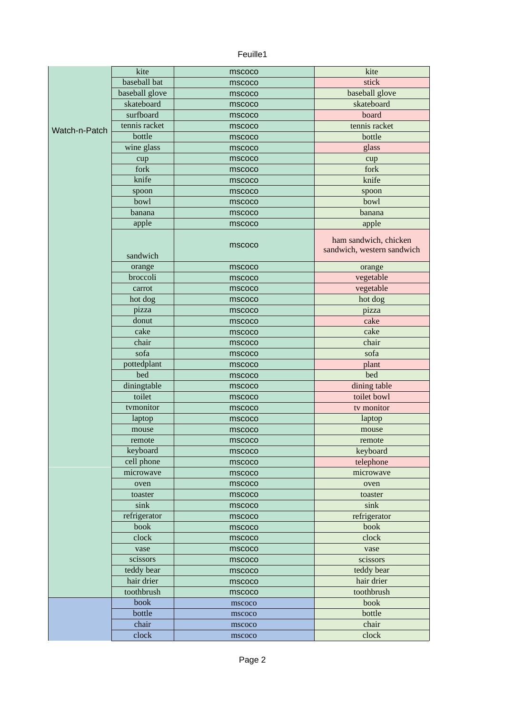## Feuille1

|               | kite           | mscoco | kite                                                |
|---------------|----------------|--------|-----------------------------------------------------|
|               | baseball bat   | mscoco | stick                                               |
|               | baseball glove | mscoco | baseball glove                                      |
|               | skateboard     | mscoco | skateboard                                          |
|               | surfboard      | mscoco | board                                               |
|               | tennis racket  | mscoco | tennis racket                                       |
| Watch-n-Patch | bottle         | mscoco | bottle                                              |
|               | wine glass     | mscoco | glass                                               |
|               | cup            | mscoco | cup                                                 |
|               | fork           | mscoco | fork                                                |
|               | knife          | mscoco | knife                                               |
|               | spoon          | mscoco | spoon                                               |
|               | bowl           | mscoco | bowl                                                |
|               | banana         | mscoco | banana                                              |
|               | apple          | mscoco | apple                                               |
|               |                |        |                                                     |
|               | sandwich       | mscoco | ham sandwich, chicken<br>sandwich, western sandwich |
|               | orange         | mscoco | orange                                              |
|               | broccoli       | mscoco | vegetable                                           |
|               | carrot         | mscoco | vegetable                                           |
|               | hot dog        | mscoco | hot dog                                             |
|               | pizza          | mscoco | pizza                                               |
|               | donut          | mscoco | cake                                                |
|               | cake           | mscoco | cake                                                |
|               | chair          | mscoco | chair                                               |
|               | sofa           | mscoco | sofa                                                |
|               | pottedplant    | mscoco | plant                                               |
|               | bed            | mscoco | bed                                                 |
|               | diningtable    | mscoco | dining table                                        |
|               | toilet         | mscoco | toilet bowl                                         |
|               | tvmonitor      | mscoco | tv monitor                                          |
|               | laptop         | mscoco | laptop                                              |
|               | mouse          | mscoco | mouse                                               |
|               | remote         | mscoco | remote                                              |
|               | keyboard       | mscoco | keyboard                                            |
|               | cell phone     | mscoco | telephone                                           |
|               | microwave      | mscoco | microwave                                           |
|               | oven           | mscoco | oven                                                |
|               | toaster        | mscoco | toaster                                             |
|               | sink           | mscoco | $\sin k$                                            |
|               | refrigerator   | mscoco | refrigerator                                        |
|               | book           | mscoco | book                                                |
|               | clock          | mscoco | clock                                               |
|               | vase           | mscoco | vase                                                |
|               | scissors       | mscoco | scissors                                            |
|               | teddy bear     | mscoco | teddy bear                                          |
|               | hair drier     | mscoco | hair drier                                          |
|               | toothbrush     | mscoco | toothbrush                                          |
|               | book           | mscoco | book                                                |
|               | bottle         | mscoco | bottle                                              |
|               | chair          | mscoco | chair                                               |
|               | clock          | mscoco | clock                                               |